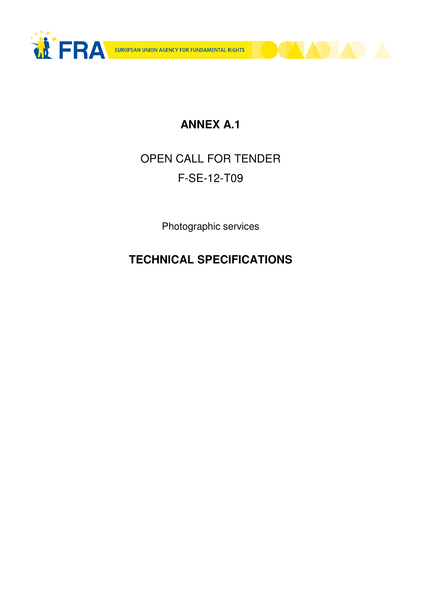



# OPEN CALL FOR TENDER F-SE-12-T09

Photographic services

# **TECHNICAL SPECIFICATIONS**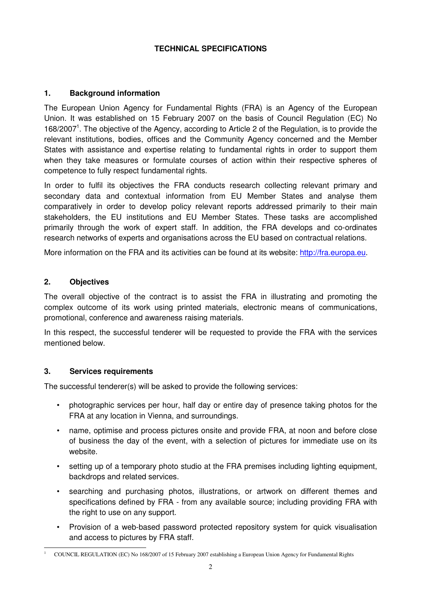#### **TECHNICAL SPECIFICATIONS**

#### **1. Background information**

The European Union Agency for Fundamental Rights (FRA) is an Agency of the European Union. It was established on 15 February 2007 on the basis of Council Regulation (EC) No 168/2007<sup>1</sup>. The objective of the Agency, according to Article 2 of the Regulation, is to provide the relevant institutions, bodies, offices and the Community Agency concerned and the Member States with assistance and expertise relating to fundamental rights in order to support them when they take measures or formulate courses of action within their respective spheres of competence to fully respect fundamental rights.

In order to fulfil its objectives the FRA conducts research collecting relevant primary and secondary data and contextual information from EU Member States and analyse them comparatively in order to develop policy relevant reports addressed primarily to their main stakeholders, the EU institutions and EU Member States. These tasks are accomplished primarily through the work of expert staff. In addition, the FRA develops and co-ordinates research networks of experts and organisations across the EU based on contractual relations.

More information on the FRA and its activities can be found at its website: http://fra.europa.eu.

#### **2. Objectives**

The overall objective of the contract is to assist the FRA in illustrating and promoting the complex outcome of its work using printed materials, electronic means of communications, promotional, conference and awareness raising materials.

In this respect, the successful tenderer will be requested to provide the FRA with the services mentioned below.

#### **3. Services requirements**

The successful tenderer(s) will be asked to provide the following services:

- photographic services per hour, half day or entire day of presence taking photos for the FRA at any location in Vienna, and surroundings.
- name, optimise and process pictures onsite and provide FRA, at noon and before close of business the day of the event, with a selection of pictures for immediate use on its website.
- setting up of a temporary photo studio at the FRA premises including lighting equipment, backdrops and related services.
- searching and purchasing photos, illustrations, or artwork on different themes and specifications defined by FRA - from any available source; including providing FRA with the right to use on any support.
- Provision of a web-based password protected repository system for quick visualisation and access to pictures by FRA staff.

<sup>-</sup>1 COUNCIL REGULATION (EC) No 168/2007 of 15 February 2007 establishing a European Union Agency for Fundamental Rights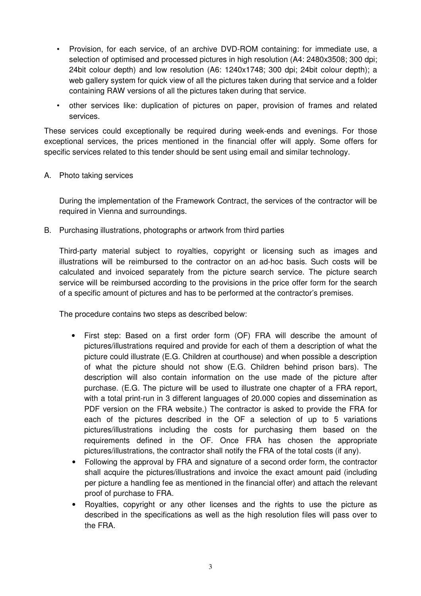- Provision, for each service, of an archive DVD-ROM containing: for immediate use, a selection of optimised and processed pictures in high resolution (A4: 2480x3508; 300 dpi; 24bit colour depth) and low resolution (A6: 1240x1748; 300 dpi; 24bit colour depth); a web gallery system for quick view of all the pictures taken during that service and a folder containing RAW versions of all the pictures taken during that service.
- other services like: duplication of pictures on paper, provision of frames and related services.

These services could exceptionally be required during week-ends and evenings. For those exceptional services, the prices mentioned in the financial offer will apply. Some offers for specific services related to this tender should be sent using email and similar technology.

#### A. Photo taking services

During the implementation of the Framework Contract, the services of the contractor will be required in Vienna and surroundings.

B. Purchasing illustrations, photographs or artwork from third parties

Third-party material subject to royalties, copyright or licensing such as images and illustrations will be reimbursed to the contractor on an ad-hoc basis. Such costs will be calculated and invoiced separately from the picture search service. The picture search service will be reimbursed according to the provisions in the price offer form for the search of a specific amount of pictures and has to be performed at the contractor's premises.

The procedure contains two steps as described below:

- First step: Based on a first order form (OF) FRA will describe the amount of pictures/illustrations required and provide for each of them a description of what the picture could illustrate (E.G. Children at courthouse) and when possible a description of what the picture should not show (E.G. Children behind prison bars). The description will also contain information on the use made of the picture after purchase. (E.G. The picture will be used to illustrate one chapter of a FRA report, with a total print-run in 3 different languages of 20.000 copies and dissemination as PDF version on the FRA website.) The contractor is asked to provide the FRA for each of the pictures described in the OF a selection of up to 5 variations pictures/illustrations including the costs for purchasing them based on the requirements defined in the OF. Once FRA has chosen the appropriate pictures/illustrations, the contractor shall notify the FRA of the total costs (if any).
- Following the approval by FRA and signature of a second order form, the contractor shall acquire the pictures/illustrations and invoice the exact amount paid (including per picture a handling fee as mentioned in the financial offer) and attach the relevant proof of purchase to FRA.
- Royalties, copyright or any other licenses and the rights to use the picture as described in the specifications as well as the high resolution files will pass over to the FRA.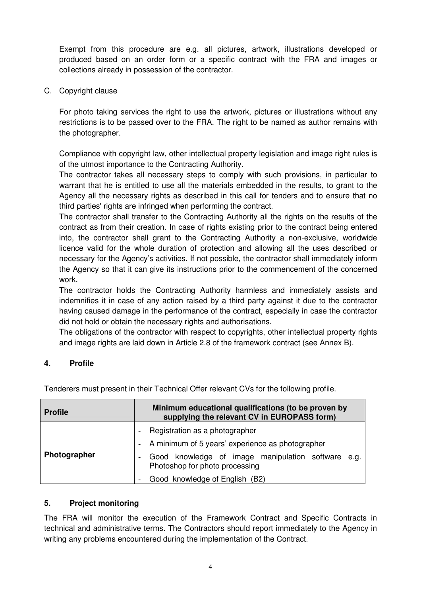Exempt from this procedure are e.g. all pictures, artwork, illustrations developed or produced based on an order form or a specific contract with the FRA and images or collections already in possession of the contractor.

C. Copyright clause

For photo taking services the right to use the artwork, pictures or illustrations without any restrictions is to be passed over to the FRA. The right to be named as author remains with the photographer.

Compliance with copyright law, other intellectual property legislation and image right rules is of the utmost importance to the Contracting Authority.

The contractor takes all necessary steps to comply with such provisions, in particular to warrant that he is entitled to use all the materials embedded in the results, to grant to the Agency all the necessary rights as described in this call for tenders and to ensure that no third parties' rights are infringed when performing the contract.

The contractor shall transfer to the Contracting Authority all the rights on the results of the contract as from their creation. In case of rights existing prior to the contract being entered into, the contractor shall grant to the Contracting Authority a non-exclusive, worldwide licence valid for the whole duration of protection and allowing all the uses described or necessary for the Agency's activities. If not possible, the contractor shall immediately inform the Agency so that it can give its instructions prior to the commencement of the concerned work.

The contractor holds the Contracting Authority harmless and immediately assists and indemnifies it in case of any action raised by a third party against it due to the contractor having caused damage in the performance of the contract, especially in case the contractor did not hold or obtain the necessary rights and authorisations.

The obligations of the contractor with respect to copyrights, other intellectual property rights and image rights are laid down in Article 2.8 of the framework contract (see Annex B).

# **4. Profile**

| <b>Profile</b> | Minimum educational qualifications (to be proven by<br>supplying the relevant CV in EUROPASS form) |
|----------------|----------------------------------------------------------------------------------------------------|
| Photographer   | Registration as a photographer<br>- A minimum of 5 years' experience as photographer               |
|                | Good knowledge of image manipulation software e.g.<br>Photoshop for photo processing               |
|                | Good knowledge of English (B2)                                                                     |

Tenderers must present in their Technical Offer relevant CVs for the following profile.

#### **5. Project monitoring**

The FRA will monitor the execution of the Framework Contract and Specific Contracts in technical and administrative terms. The Contractors should report immediately to the Agency in writing any problems encountered during the implementation of the Contract.